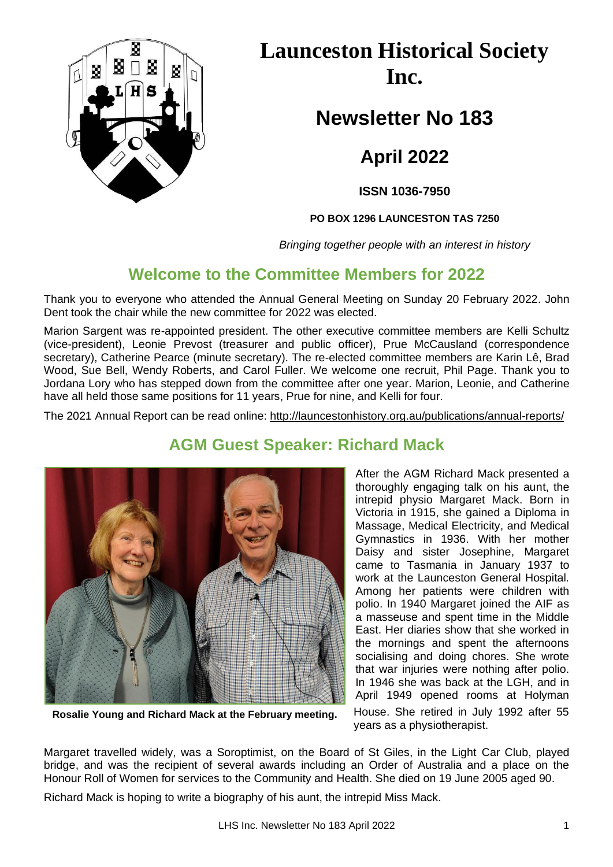

**Launceston Historical Society Inc.**

**Newsletter No 183**

**April 2022**

**ISSN 1036-7950**

**PO BOX 1296 LAUNCESTON TAS 7250**

*Bringing together people with an interest in history*

## **Welcome to the Committee Members for 2022**

Thank you to everyone who attended the Annual General Meeting on Sunday 20 February 2022. John Dent took the chair while the new committee for 2022 was elected.

Marion Sargent was re-appointed president. The other executive committee members are Kelli Schultz (vice-president), Leonie Prevost (treasurer and public officer), Prue McCausland (correspondence secretary), Catherine Pearce (minute secretary). The re-elected committee members are Karin Lê, Brad Wood, Sue Bell, Wendy Roberts, and Carol Fuller. We welcome one recruit, Phil Page. Thank you to Jordana Lory who has stepped down from the committee after one year. Marion, Leonie, and Catherine have all held those same positions for 11 years, Prue for nine, and Kelli for four.

The 2021 Annual Report can be read online:<http://launcestonhistory.org.au/publications/annual-reports/>



**AGM Guest Speaker: Richard Mack**

After the AGM Richard Mack presented a thoroughly engaging talk on his aunt, the intrepid physio Margaret Mack. Born in Victoria in 1915, she gained a Diploma in Massage, Medical Electricity, and Medical Gymnastics in 1936. With her mother Daisy and sister Josephine, Margaret came to Tasmania in January 1937 to work at the Launceston General Hospital. Among her patients were children with polio. In 1940 Margaret joined the AIF as a masseuse and spent time in the Middle East. Her diaries show that she worked in the mornings and spent the afternoons socialising and doing chores. She wrote that war injuries were nothing after polio. In 1946 she was back at the LGH, and in April 1949 opened rooms at Holyman House. She retired in July 1992 after 55 years as a physiotherapist.

**Rosalie Young and Richard Mack at the February meeting.**

Margaret travelled widely, was a Soroptimist, on the Board of St Giles, in the Light Car Club, played bridge, and was the recipient of several awards including an Order of Australia and a place on the Honour Roll of Women for services to the Community and Health. She died on 19 June 2005 aged 90.

Richard Mack is hoping to write a biography of his aunt, the intrepid Miss Mack.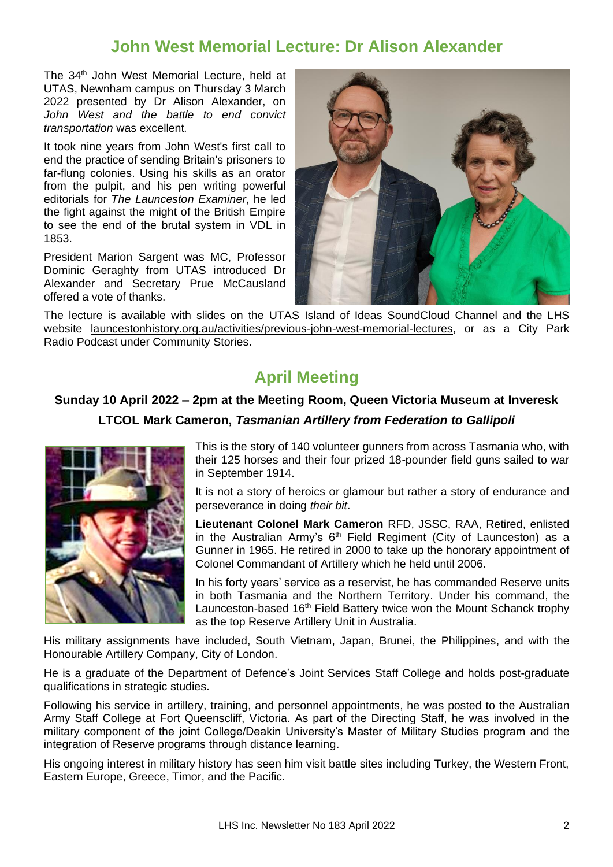#### **John West Memorial Lecture: Dr Alison Alexander**

The 34<sup>th</sup> John West Memorial Lecture, held at UTAS, Newnham campus on Thursday 3 March 2022 presented by Dr Alison Alexander, on *John West and the battle to end convict transportation* was excellent*.*

It took nine years from John West's first call to end the practice of sending Britain's prisoners to far-flung colonies. Using his skills as an orator from the pulpit, and his pen writing powerful editorials for *The Launceston Examiner*, he led the fight against the might of the British Empire to see the end of the brutal system in VDL in 1853.

President Marion Sargent was MC, Professor Dominic Geraghty from UTAS introduced Dr Alexander and Secretary Prue McCausland offered a vote of thanks.



The lecture is available with slides on the UTAS [Island of Ideas](https://soundcloud.com/universityoftasmania) SoundCloud Channel and the LHS website [launcestonhistory.org.au/activities/previous-john-west-memorial-lectures,](http://launcestonhistory.org.au/activities/previous-john-west-memorial-lectures/) or as a City Park Radio Podcast under Community Stories.

# **April Meeting**

#### **Sunday 10 April 2022 – 2pm at the Meeting Room, Queen Victoria Museum at Inveresk**

**LTCOL Mark Cameron,** *Tasmanian Artillery from Federation to Gallipoli*



This is the story of 140 volunteer gunners from across Tasmania who, with their 125 horses and their four prized 18-pounder field guns sailed to war in September 1914.

It is not a story of heroics or glamour but rather a story of endurance and perseverance in doing *their bit*.

**Lieutenant Colonel Mark Cameron** RFD, JSSC, RAA, Retired, enlisted in the Australian Army's  $6<sup>th</sup>$  Field Regiment (City of Launceston) as a Gunner in 1965. He retired in 2000 to take up the honorary appointment of Colonel Commandant of Artillery which he held until 2006.

In his forty years' service as a reservist, he has commanded Reserve units in both Tasmania and the Northern Territory. Under his command, the Launceston-based 16<sup>th</sup> Field Battery twice won the Mount Schanck trophy as the top Reserve Artillery Unit in Australia.

His military assignments have included, South Vietnam, Japan, Brunei, the Philippines, and with the Honourable Artillery Company, City of London.

He is a graduate of the Department of Defence's Joint Services Staff College and holds post-graduate qualifications in strategic studies.

Following his service in artillery, training, and personnel appointments, he was posted to the Australian Army Staff College at Fort Queenscliff, Victoria. As part of the Directing Staff, he was involved in the military component of the joint College/Deakin University's Master of Military Studies program and the integration of Reserve programs through distance learning.

His ongoing interest in military history has seen him visit battle sites including Turkey, the Western Front, Eastern Europe, Greece, Timor, and the Pacific.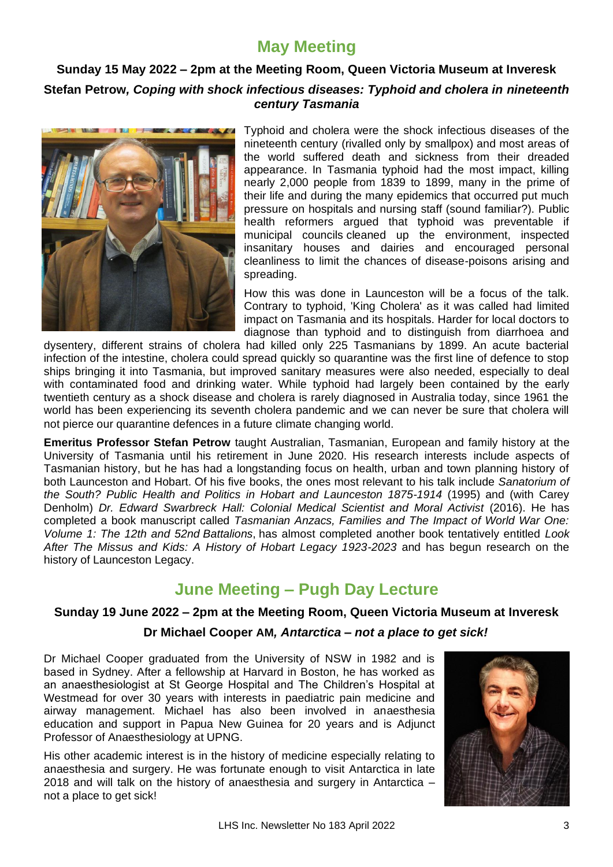# **May Meeting**

#### **Sunday 15 May 2022 – 2pm at the Meeting Room, Queen Victoria Museum at Inveresk Stefan Petrow***, Coping with shock infectious diseases: Typhoid and cholera in nineteenth century Tasmania*



Typhoid and cholera were the shock infectious diseases of the nineteenth century (rivalled only by smallpox) and most areas of the world suffered death and sickness from their dreaded appearance. In Tasmania typhoid had the most impact, killing nearly 2,000 people from 1839 to 1899, many in the prime of their life and during the many epidemics that occurred put much pressure on hospitals and nursing staff (sound familiar?). Public health reformers argued that typhoid was preventable if municipal councils cleaned up the environment, inspected insanitary houses and dairies and encouraged personal cleanliness to limit the chances of disease-poisons arising and spreading.

How this was done in Launceston will be a focus of the talk. Contrary to typhoid, 'King Cholera' as it was called had limited impact on Tasmania and its hospitals. Harder for local doctors to diagnose than typhoid and to distinguish from diarrhoea and

dysentery, different strains of cholera had killed only 225 Tasmanians by 1899. An acute bacterial infection of the intestine, cholera could spread quickly so quarantine was the first line of defence to stop ships bringing it into Tasmania, but improved sanitary measures were also needed, especially to deal with contaminated food and drinking water. While typhoid had largely been contained by the early twentieth century as a shock disease and cholera is rarely diagnosed in Australia today, since 1961 the world has been experiencing its seventh cholera pandemic and we can never be sure that cholera will not pierce our quarantine defences in a future climate changing world.

**Emeritus Professor Stefan Petrow** taught Australian, Tasmanian, European and family history at the University of Tasmania until his retirement in June 2020. His research interests include aspects of Tasmanian history, but he has had a longstanding focus on health, urban and town planning history of both Launceston and Hobart. Of his five books, the ones most relevant to his talk include *Sanatorium of the South? Public Health and Politics in Hobart and Launceston 1875-1914* (1995) and (with Carey Denholm) *Dr. Edward Swarbreck Hall: Colonial Medical Scientist and Moral Activist* (2016). He has completed a book manuscript called *Tasmanian Anzacs, Families and The Impact of World War One: Volume 1: The 12th and 52nd Battalions*, has almost completed another book tentatively entitled *Look After The Missus and Kids: A History of Hobart Legacy 1923-2023* and has begun research on the history of Launceston Legacy.

# **June Meeting – Pugh Day Lecture**

#### **Sunday 19 June 2022 – 2pm at the Meeting Room, Queen Victoria Museum at Inveresk**

#### **Dr Michael Cooper AM***, Antarctica – not a place to get sick!*

Dr Michael Cooper graduated from the University of NSW in 1982 and is based in Sydney. After a fellowship at Harvard in Boston, he has worked as an anaesthesiologist at St George Hospital and The Children's Hospital at Westmead for over 30 years with interests in paediatric pain medicine and airway management. Michael has also been involved in anaesthesia education and support in Papua New Guinea for 20 years and is Adjunct Professor of Anaesthesiology at UPNG.

His other academic interest is in the history of medicine especially relating to anaesthesia and surgery. He was fortunate enough to visit Antarctica in late 2018 and will talk on the history of anaesthesia and surgery in Antarctica – not a place to get sick!

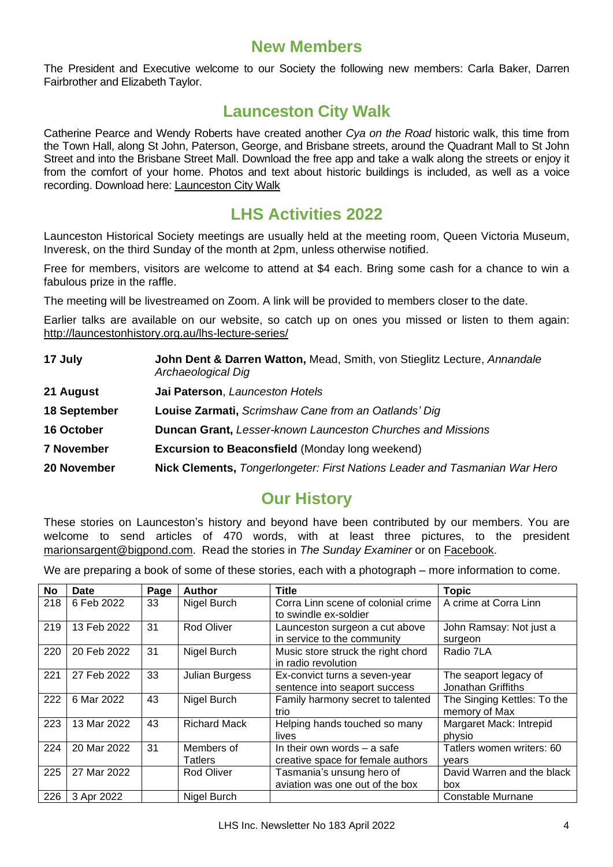#### **New Members**

The President and Executive welcome to our Society the following new members: Carla Baker, Darren Fairbrother and Elizabeth Taylor.

## **Launceston City Walk**

Catherine Pearce and Wendy Roberts have created another *Cya on the Road* historic walk, this time from the Town Hall, along St John, Paterson, George, and Brisbane streets, around the Quadrant Mall to St John Street and into the Brisbane Street Mall. Download the free app and take a walk along the streets or enjoy it from the comfort of your home. Photos and text about historic buildings is included, as well as a voice recording. Download here[: Launceston City Walk](https://dynamic.cyaontheroad.com/s8Pz)

#### **LHS Activities 2022**

Launceston Historical Society meetings are usually held at the meeting room, Queen Victoria Museum, Inveresk, on the third Sunday of the month at 2pm, unless otherwise notified.

Free for members, visitors are welcome to attend at \$4 each. Bring some cash for a chance to win a fabulous prize in the raffle.

The meeting will be livestreamed on Zoom. A link will be provided to members closer to the date.

Earlier talks are available on our website, so catch up on ones you missed or listen to them again: <http://launcestonhistory.org.au/lhs-lecture-series/>

| 17 July           | John Dent & Darren Watton, Mead, Smith, von Stieglitz Lecture, Annandale<br>Archaeological Dig |  |  |  |
|-------------------|------------------------------------------------------------------------------------------------|--|--|--|
| 21 August         | Jai Paterson, Launceston Hotels                                                                |  |  |  |
| 18 September      | Louise Zarmati, Scrimshaw Cane from an Oatlands' Dig                                           |  |  |  |
| 16 October        | <b>Duncan Grant, Lesser-known Launceston Churches and Missions</b>                             |  |  |  |
| <b>7 November</b> | <b>Excursion to Beaconsfield (Monday long weekend)</b>                                         |  |  |  |
| 20 November       | Nick Clements, Tongerlongeter: First Nations Leader and Tasmanian War Herd                     |  |  |  |

# **Our History**

These stories on Launceston's history and beyond have been contributed by our members. You are welcome to send articles of 470 words, with at least three pictures, to the president [marionsargent@bigpond.com.](mailto:marionsargent@bigpond.com) Read the stories in *The Sunday Examiner* or on [Facebook.](https://www.facebook.com/launcestonhistory/)

We are preparing a book of some of these stories, each with a photograph – more information to come.

| No  | Date        | Page | <b>Author</b>         | <b>Title</b>                                                       | <b>Topic</b>                                 |
|-----|-------------|------|-----------------------|--------------------------------------------------------------------|----------------------------------------------|
| 218 | 6 Feb 2022  | 33   | Nigel Burch           | Corra Linn scene of colonial crime<br>to swindle ex-soldier        | A crime at Corra Linn                        |
| 219 | 13 Feb 2022 | 31   | <b>Rod Oliver</b>     | Launceston surgeon a cut above<br>in service to the community      | John Ramsay: Not just a<br>surgeon           |
| 220 | 20 Feb 2022 | 31   | Nigel Burch           | Music store struck the right chord<br>in radio revolution          | Radio 7LA                                    |
| 221 | 27 Feb 2022 | 33   | Julian Burgess        | Ex-convict turns a seven-year<br>sentence into seaport success     | The seaport legacy of<br>Jonathan Griffiths  |
| 222 | 6 Mar 2022  | 43   | Nigel Burch           | Family harmony secret to talented<br>trio                          | The Singing Kettles: To the<br>memory of Max |
| 223 | 13 Mar 2022 | 43   | <b>Richard Mack</b>   | Helping hands touched so many<br>lives                             | Margaret Mack: Intrepid<br>physio            |
| 224 | 20 Mar 2022 | 31   | Members of<br>Tatlers | In their own words $-$ a safe<br>creative space for female authors | Tatlers women writers: 60<br>years           |
| 225 | 27 Mar 2022 |      | Rod Oliver            | Tasmania's unsung hero of<br>aviation was one out of the box       | David Warren and the black<br>box            |
| 226 | 3 Apr 2022  |      | Nigel Burch           |                                                                    | <b>Constable Murnane</b>                     |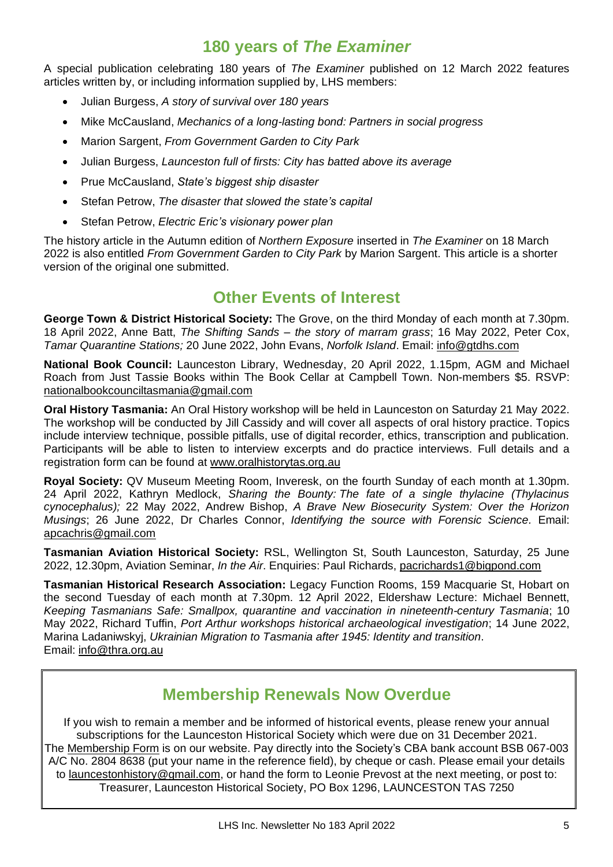## **180 years of** *The Examiner*

A special publication celebrating 180 years of *The Examiner* published on 12 March 2022 features articles written by, or including information supplied by, LHS members:

- Julian Burgess, *A story of survival over 180 years*
- Mike McCausland, *Mechanics of a long-lasting bond: Partners in social progress*
- Marion Sargent, *From Government Garden to City Park*
- Julian Burgess, *Launceston full of firsts: City has batted above its average*
- Prue McCausland, *State's biggest ship disaster*
- Stefan Petrow, *The disaster that slowed the state's capital*
- Stefan Petrow, *Electric Eric's visionary power plan*

The history article in the Autumn edition of *Northern Exposure* inserted in *The Examiner* on 18 March 2022 is also entitled *From Government Garden to City Park* by Marion Sargent. This article is a shorter version of the original one submitted.

## **Other Events of Interest**

**George Town & District Historical Society:** The Grove, on the third Monday of each month at 7.30pm. 18 April 2022, Anne Batt, *The Shifting Sands – the story of marram grass*; 16 May 2022, Peter Cox, *Tamar Quarantine Stations;* 20 June 2022, John Evans, *Norfolk Island*. Email: [info@gtdhs.com](mailto:info@gtdhs.com)

**National Book Council:** Launceston Library, Wednesday, 20 April 2022, 1.15pm, AGM and Michael Roach from Just Tassie Books within The Book Cellar at Campbell Town. Non-members \$5. RSVP: [nationalbookcounciltasmania@gmail.com](mailto:nationalbookcounciltasmania@gmail.com)

**Oral History Tasmania:** An Oral History workshop will be held in Launceston on Saturday 21 May 2022. The workshop will be conducted by Jill Cassidy and will cover all aspects of oral history practice. Topics include interview technique, possible pitfalls, use of digital recorder, ethics, transcription and publication. Participants will be able to listen to interview excerpts and do practice interviews. Full details and a registration form can be found at [www.oralhistorytas.org.au](http://www.oralhistorytas.org.au/)

**Royal Society:** QV Museum Meeting Room, Inveresk, on the fourth Sunday of each month at 1.30pm. 24 April 2022, Kathryn Medlock, *Sharing the Bounty: The fate of a single thylacine (Thylacinus cynocephalus);* 22 May 2022, Andrew Bishop, *A Brave New Biosecurity System: Over the Horizon Musings*; 26 June 2022, Dr Charles Connor, *Identifying the source with Forensic Science.* Email: [apcachris@gmail.com](mailto:apcachris@gmail.com)

**Tasmanian Aviation Historical Society:** RSL, Wellington St, South Launceston, Saturday, 25 June 2022, 12.30pm, Aviation Seminar, *In the Air*. Enquiries: Paul Richards, [pacrichards1@bigpond.com](mailto:pacrichards1@bigpond.com)

**Tasmanian Historical Research Association:** Legacy Function Rooms, 159 Macquarie St, Hobart on the second Tuesday of each month at 7.30pm. 12 April 2022, Eldershaw Lecture: Michael Bennett, *Keeping Tasmanians Safe: Smallpox, quarantine and vaccination in nineteenth-century Tasmania*; 10 May 2022, Richard Tuffin, *Port Arthur workshops historical archaeological investigation*; 14 June 2022, Marina Ladaniwskyj, *Ukrainian Migration to Tasmania after 1945: Identity and transition*. Email: [info@thra.org.au](mailto:info@thra.org.au)

#### **Membership Renewals Now Overdue**

If you wish to remain a member and be informed of historical events, please renew your annual subscriptions for the Launceston Historical Society which were due on 31 December 2021. The [Membership Form](http://launcestonhistory.org.au/wp-content/uploads/2017/11/LHS-flyer-2017.pdf) is on our website. Pay directly into the Society's CBA bank account BSB 067-003 A/C No. 2804 8638 (put your name in the reference field), by cheque or cash. Please email your details to [launcestonhistory@gmail.com,](mailto:launcestonhistory@gmail.com) or hand the form to Leonie Prevost at the next meeting, or post to: Treasurer, Launceston Historical Society, PO Box 1296, LAUNCESTON TAS 7250